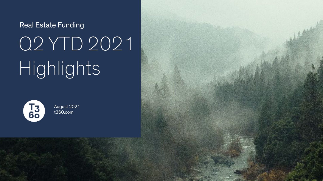# Real Estate Funding Q2 YTD 2021 Highlights



August 2021 [t360.com](http://t360.com)

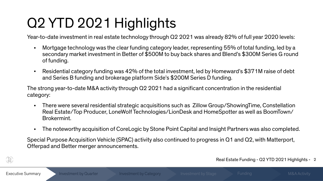## Q2 YTD 2021 Highlights

Year-to-date investment in real estate technology Year-to-date investment in real estate technology through Q2 2021 was already 82% of full year 2020 levels:

- Mortgage technology was the clear funding category leader, representing 55% of total funding, led by a secondary market investment in Better of \$500M to buy back shares and Blend's \$300M Series G round of funding.
- Residential category funding was 42% of the total investment, led by Homeward's \$371M raise of debt and Series B funding and brokerage platform Side's \$200M Series D funding.

The strong year-to-date M&A activity through Q2 2021 had a significant concentration in the residential category:

- There were several residential strategic acquisitions such as Zillow Group/ShowingTime, Constellation Real Estate/Top Producer, LoneWolf Technologies/LionDesk and HomeSpotter as well as BoomTown/ Brokermint.
- The noteworthy acquisition of CoreLogic by Stone Point Capital and Insight Partners was also completed.

Special Purpose Acquisition Vehicle (SPAC) activity also continued to progress in Q1 and Q2, with Matterport, Offerpad and Better merger announcements.



Real Estate Funding - Q2 YTD 2021 Highlights - 2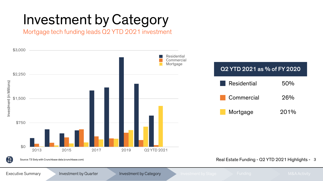Mortgage tech funding leads Q2 YTD 2021 investment

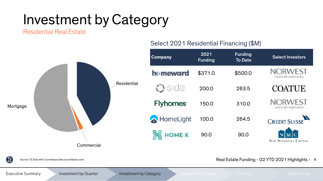Residential Real Estate



#### Select 2021 Residential Financing (\$M)

Executive Summary **Investment by Quarter Investment by Category Investment by Stage Funding M&A Activity** M&A Activity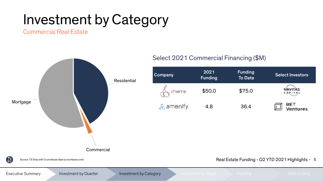Commercial Real Estate



Executive Summary **Investment by Quarter Investment by Category Investment by Stage Funding M&A Activity** M&A Activity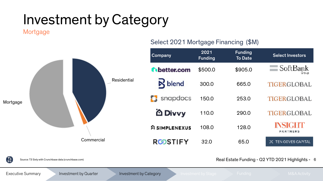Mortgage



#### Select 2021 Mortgage Financing (\$M)

| Company             | 2021<br><b>Funding</b> | <b>Funding</b><br><b>To Date</b> | <b>Select Investors</b>                  |
|---------------------|------------------------|----------------------------------|------------------------------------------|
| <b>C</b> better.com | \$500.0                | \$905.0                          | $\equiv$ SoftBank<br>Group               |
| <b>R</b> blend      | 300.0                  | 665.0                            | TIGERGLOBAL                              |
| snapdocs<br>п       | 150.0                  | 253.0                            | <b>TIGERGLOBAL</b>                       |
| <b>谷 Divvy</b>      | 110.0                  | 290.0                            | <b>TIGERGLOBAL</b>                       |
| SIMPLENEXUS         | 108.0                  | 128.0                            | <b>INSIGHT</b><br><b><i>PARTNERS</i></b> |
| RඟSTIFY             | 32.0                   | 65.0                             | TEN COVES CAPITAL                        |

 $\left[\begin{smallmatrix} 73 \ 69 \end{smallmatrix}\right]$ 

Source: T3 Sixty with Crunchbase data (crunchbase.com)

Real Estate Funding - Q2 YTD 2021 Highlights - 6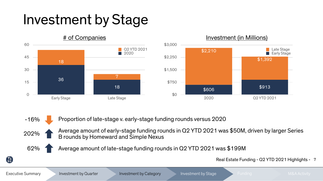#### Investment by Stage





Proportion of late-stage v. early-stage funding rounds versus 2020



-16%

Average amount of early-stage funding rounds in Q2 YTD 2021 was \$50M, driven by larger Series B rounds by Homeward and Simple Nexus



Average amount of late-stage funding rounds in Q2 YTD 2021 was \$199M

Real Estate Funding - Q2 YTD 2021 Highlights - 7

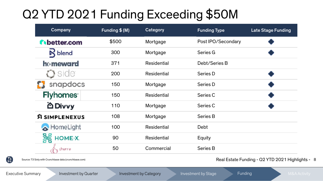#### Q2 YTD 2021 Funding Exceeding \$50M

| Company                                | Funding \$ (M) | Category           | <b>Funding Type</b> | <b>Late Stage Funding</b> |
|----------------------------------------|----------------|--------------------|---------------------|---------------------------|
| thetter.com                            | \$500          | Mortgage           | Post IPO/Secondary  |                           |
| $\aleph$ blend                         | 300            | Mortgage           | Series G            |                           |
| ho meward                              | 371            | <b>Residential</b> | Debt/Series B       |                           |
| side                                   | 200            | <b>Residential</b> | Series D            |                           |
| snapdocs                               | 150            | Mortgage           | Series D            |                           |
| <b>Flyhomes</b>                        | 150            | <b>Residential</b> | Series C            |                           |
| iΔ Divvy                               | 110            | Mortgage           | Series C            |                           |
| <b>SIMPLENEXUS</b>                     | 108            | Mortgage           | <b>Series B</b>     |                           |
| HomeLight                              | 100            | <b>Residential</b> | <b>Debt</b>         |                           |
| <b>HOME-X.</b>                         | 90             | <b>Residential</b> | Equity              |                           |
| $\bigtriangleup_{\mathfrak{h}}$ cherre | 50             | Commercial         | Series B            |                           |



Real Estate Funding - Q2 YTD 2021 Highlights - 8

 $\begin{bmatrix} 13 \\ 60 \end{bmatrix}$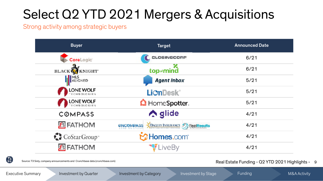#### Select Q2 YTD 2021 Mergers & Acquisitions

Strong activity among strategic buyers





Source: T3 Sixty, company announcements and Crunchbase data (crunchbase.com)

Real Estate Funding - Q2 YTD 2021 Highlights - 9

Executive Summary **Investment by Quarter Investment by Category** Investment by Stage Funding M&A Activity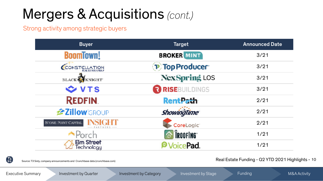#### Mergers & Acquisitions (cont.)

Strong activity among strategic buyers





Source: T3 Sixty, company announcements and Crunchbase data (crunchbase.com)

Real Estate Funding - Q2 YTD 2021 Highlights - 10

Executive Summary **Investment by Quarter Investment by Category** Investment by Stage Funding M&A Activity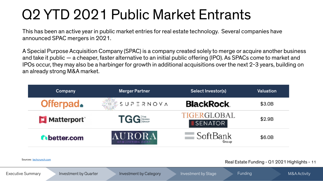#### Q2 YTD 2021 Public Market Entrants

This has been an active year in public market entries for real estate technology. Several companies have announced SPAC mergers in 2021.

A Special Purpose Acquisition Company (SPAC) is a company created solely to merge or acquire another business and take it public — a cheaper, faster alternative to an initial public offering (IPO). As SPACs come to market and IPOs occur, they may also be a harbinger for growth in additional acquisitions over the next 2-3 years, building on an already strong M&A market.

| Company             | <b>Merger Partner</b>             | Select Investor(s)             | Valuation |
|---------------------|-----------------------------------|--------------------------------|-----------|
| Offerpad.           | $\frac{1}{2}$ e $\leq$ SUP ERNOVA | <b>BlackRock</b>               | \$3.0B    |
| Matterport          | <b>TGG</b>                        | TIGERGLOBAL<br><b>ISENATOR</b> | \$2.9B    |
| <b>N</b> better.com | AURORA<br>ACQUISITION CORE        | SoftBank<br>Group              | \$6.0B    |

Real Estate Funding - Q1 2021 Highlights - 11

Sources: [techcrunch.com](http://techcrunch.com)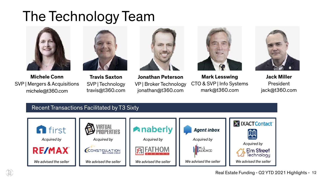#### The Technology Team





**Michele Conn**  SVP | Mergers & Acquisitions michele@t360.com

**Travis Saxton**  SVP | Technology travis@t360.com



**Jonathan Peterson**  VP | Broker Technology jonathan@t360.com







**Jack Miller**  President jack@t360.com

#### Recent Transactions Facilitated by T3 Sixty